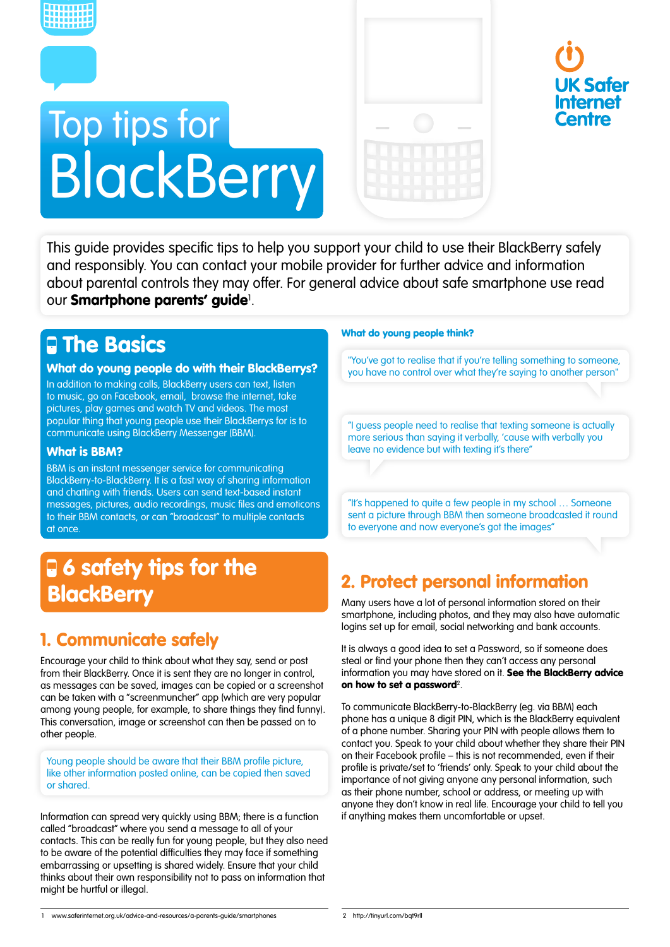

# Top tips for **BlackBerry**





This guide provides specific tips to help you support your child to use their BlackBerry safely and responsibly. You can contact your mobile provider for further advice and information about parental controls they may offer. For general advice about safe smartphone use read our **[Smartphone parents' guide](http://www.saferinternet.org.uk/advice-and-resources/a-parents-guide/smartphones)**'.

## **Q** The Basics

#### What do young people do with their BlackBerrys?

In addition to making calls, BlackBerry users can text, listen to music, go on Facebook, email, browse the internet, take pictures, play games and watch TV and videos. The most popular thing that young people use their BlackBerrys for is to communicate using BlackBerry Messenger (BBM).

#### What is BBM?

BBM is an instant messenger service for communicating BlackBerry-to-BlackBerry. It is a fast way of sharing information and chatting with friends. Users can send text-based instant messages, pictures, audio recordings, music files and emoticons to their BBM contacts, or can "broadcast" to multiple contacts at once.

# **6** safety tips for the **BlackBerry**

### 1. Communicate safely

Encourage your child to think about what they say, send or post from their BlackBerry. Once it is sent they are no longer in control, as messages can be saved, images can be copied or a screenshot can be taken with a "screenmuncher" app (which are very popular among young people, for example, to share things they find funny). This conversation, image or screenshot can then be passed on to other people.

Young people should be aware that their BBM profile picture, like other information posted online, can be copied then saved or shared.

Information can spread very quickly using BBM; there is a function called "broadcast" where you send a message to all of your contacts. This can be really fun for young people, but they also need to be aware of the potential difficulties they may face if something embarrassing or upsetting is shared widely. Ensure that your child thinks about their own responsibility not to pass on information that might be hurtful or illegal.

#### What do young people think?

"You've got to realise that if you're telling something to someone, you have no control over what they're saying to another person"

"I guess people need to realise that texting someone is actually more serious than saying it verbally, 'cause with verbally you leave no evidence but with texting it's there"

"It's happened to quite a few people in my school … Someone sent a picture through BBM then someone broadcasted it round to everyone and now everyone's got the images"

## 2. Protect personal information

Many users have a lot of personal information stored on their smartphone, including photos, and they may also have automatic logins set up for email, social networking and bank accounts.

It is always a good idea to set a Password, so if someone does steal or find your phone then they can't access any personal information you may have stored on it. See the BlackBerry advice [on how to set a password](http://tinyurl.com/bqt9rll)?.

To communicate BlackBerry-to-BlackBerry (eg. via BBM) each phone has a unique 8 digit PIN, which is the BlackBerry equivalent of a phone number. Sharing your PIN with people allows them to contact you. Speak to your child about whether they share their PIN on their Facebook profile – this is not recommended, even if their profile is private/set to 'friends' only. Speak to your child about the importance of not giving anyone any personal information, such as their phone number, school or address, or meeting up with anyone they don't know in real life. Encourage your child to tell you if anything makes them uncomfortable or upset.